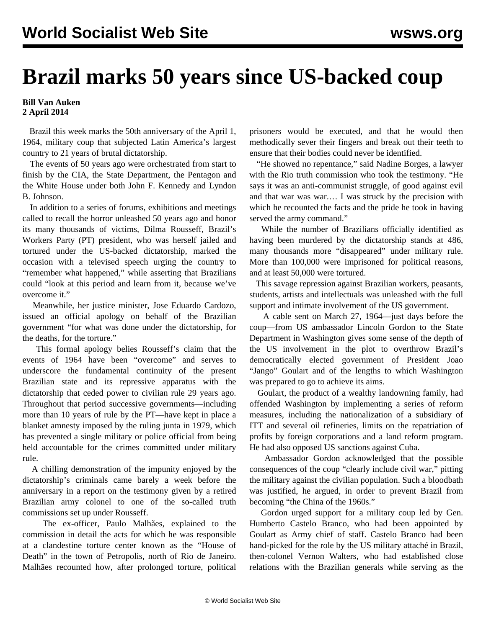## **Brazil marks 50 years since US-backed coup**

## **Bill Van Auken 2 April 2014**

 Brazil this week marks the 50th anniversary of the April 1, 1964, military coup that subjected Latin America's largest country to 21 years of brutal dictatorship.

 The events of 50 years ago were orchestrated from start to finish by the CIA, the State Department, the Pentagon and the White House under both John F. Kennedy and Lyndon B. Johnson.

 In addition to a series of forums, exhibitions and meetings called to recall the horror unleashed 50 years ago and honor its many thousands of victims, Dilma Rousseff, Brazil's Workers Party (PT) president, who was herself jailed and tortured under the US-backed dictatorship, marked the occasion with a televised speech urging the country to "remember what happened," while asserting that Brazilians could "look at this period and learn from it, because we've overcome it."

 Meanwhile, her justice minister, Jose Eduardo Cardozo, issued an official apology on behalf of the Brazilian government "for what was done under the dictatorship, for the deaths, for the torture."

 This formal apology belies Rousseff's claim that the events of 1964 have been "overcome" and serves to underscore the fundamental continuity of the present Brazilian state and its repressive apparatus with the dictatorship that ceded power to civilian rule 29 years ago. Throughout that period successive governments—including more than 10 years of rule by the PT—have kept in place a blanket amnesty imposed by the ruling junta in 1979, which has prevented a single military or police official from being held accountable for the crimes committed under military rule.

 A chilling demonstration of the impunity enjoyed by the dictatorship's criminals came barely a week before the anniversary in a report on the testimony given by a retired Brazilian army colonel to one of the so-called truth commissions set up under Rousseff.

 The ex-officer, Paulo Malhães, explained to the commission in detail the acts for which he was responsible at a clandestine torture center known as the "House of Death" in the town of Petropolis, north of Rio de Janeiro. Malhães recounted how, after prolonged torture, political prisoners would be executed, and that he would then methodically sever their fingers and break out their teeth to ensure that their bodies could never be identified.

 "He showed no repentance," said Nadine Borges, a lawyer with the Rio truth commission who took the testimony. "He says it was an anti-communist struggle, of good against evil and that war was war.… I was struck by the precision with which he recounted the facts and the pride he took in having served the army command."

 While the number of Brazilians officially identified as having been murdered by the dictatorship stands at 486, many thousands more "disappeared" under military rule. More than 100,000 were imprisoned for political reasons, and at least 50,000 were tortured.

 This savage repression against Brazilian workers, peasants, students, artists and intellectuals was unleashed with the full support and intimate involvement of the US government.

 A [cable](http://www2.gwu.edu/~nsarchiv/NSAEBB/NSAEBB118/bz02.pdf) sent on March 27, 1964—just days before the coup—from US ambassador Lincoln Gordon to the State Department in Washington gives some sense of the depth of the US involvement in the plot to overthrow Brazil's democratically elected government of President Joao "Jango" Goulart and of the lengths to which Washington was prepared to go to achieve its aims.

 Goulart, the product of a wealthy landowning family, had offended Washington by implementing a series of reform measures, including the nationalization of a subsidiary of ITT and several oil refineries, limits on the repatriation of profits by foreign corporations and a land reform program. He had also opposed US sanctions against Cuba.

 Ambassador Gordon acknowledged that the possible consequences of the coup "clearly include civil war," pitting the military against the civilian population. Such a bloodbath was justified, he argued, in order to prevent Brazil from becoming "the China of the 1960s."

 Gordon urged support for a military coup led by Gen. Humberto Castelo Branco, who had been appointed by Goulart as Army chief of staff. Castelo Branco had been hand-picked for the role by the US military attaché in Brazil, then-colonel Vernon Walters, who had established close relations with the Brazilian generals while serving as the